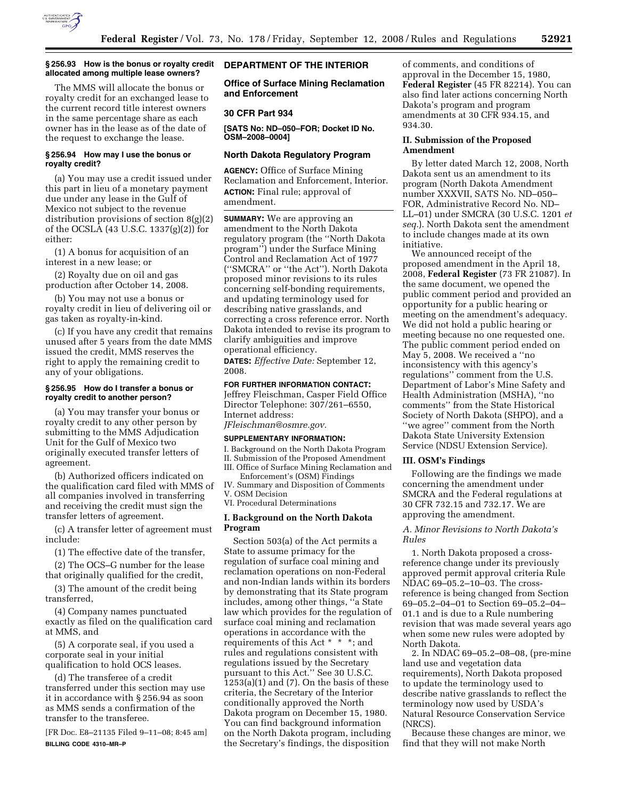

#### **§ 256.93 How is the bonus or royalty credit allocated among multiple lease owners?**

The MMS will allocate the bonus or royalty credit for an exchanged lease to the current record title interest owners in the same percentage share as each owner has in the lease as of the date of the request to exchange the lease.

### **§ 256.94 How may I use the bonus or royalty credit?**

(a) You may use a credit issued under this part in lieu of a monetary payment due under any lease in the Gulf of Mexico not subject to the revenue distribution provisions of section 8(g)(2) of the OCSLA (43 U.S.C. 1337(g)(2)) for either:

(1) A bonus for acquisition of an interest in a new lease; or

(2) Royalty due on oil and gas production after October 14, 2008.

(b) You may not use a bonus or royalty credit in lieu of delivering oil or gas taken as royalty-in-kind.

(c) If you have any credit that remains unused after 5 years from the date MMS issued the credit, MMS reserves the right to apply the remaining credit to any of your obligations.

### **§ 256.95 How do I transfer a bonus or royalty credit to another person?**

(a) You may transfer your bonus or royalty credit to any other person by submitting to the MMS Adjudication Unit for the Gulf of Mexico two originally executed transfer letters of agreement.

(b) Authorized officers indicated on the qualification card filed with MMS of all companies involved in transferring and receiving the credit must sign the transfer letters of agreement.

(c) A transfer letter of agreement must include:

(1) The effective date of the transfer,

(2) The OCS–G number for the lease that originally qualified for the credit,

(3) The amount of the credit being transferred,

(4) Company names punctuated exactly as filed on the qualification card at MMS, and

(5) A corporate seal, if you used a corporate seal in your initial qualification to hold OCS leases.

(d) The transferee of a credit transferred under this section may use it in accordance with § 256.94 as soon as MMS sends a confirmation of the transfer to the transferee.

[FR Doc. E8–21135 Filed 9–11–08; 8:45 am] **BILLING CODE 4310–MR–P** 

# **DEPARTMENT OF THE INTERIOR**

**Office of Surface Mining Reclamation and Enforcement** 

## **30 CFR Part 934**

**[SATS No: ND–050–FOR; Docket ID No. OSM–2008–0004]** 

# **North Dakota Regulatory Program**

**AGENCY:** Office of Surface Mining Reclamation and Enforcement, Interior. **ACTION:** Final rule; approval of amendment.

**SUMMARY:** We are approving an amendment to the North Dakota regulatory program (the ''North Dakota program'') under the Surface Mining Control and Reclamation Act of 1977 (''SMCRA'' or ''the Act''). North Dakota proposed minor revisions to its rules concerning self-bonding requirements, and updating terminology used for describing native grasslands, and correcting a cross reference error. North Dakota intended to revise its program to clarify ambiguities and improve operational efficiency.

**DATES:** *Effective Date:* September 12, 2008.

### **FOR FURTHER INFORMATION CONTACT:**

Jeffrey Fleischman, Casper Field Office Director Telephone: 307/261–6550, Internet address:

*JFleischman@osmre.gov.* 

### **SUPPLEMENTARY INFORMATION:**

I. Background on the North Dakota Program

II. Submission of the Proposed Amendment

III. Office of Surface Mining Reclamation and Enforcement's (OSM) Findings

IV. Summary and Disposition of Comments V. OSM Decision

VI. Procedural Determinations

## **I. Background on the North Dakota Program**

Section 503(a) of the Act permits a State to assume primacy for the regulation of surface coal mining and reclamation operations on non-Federal and non-Indian lands within its borders by demonstrating that its State program includes, among other things, ''a State law which provides for the regulation of surface coal mining and reclamation operations in accordance with the requirements of this Act \* \* \*; and rules and regulations consistent with regulations issued by the Secretary pursuant to this Act.'' See 30 U.S.C. 1253(a)(1) and (7). On the basis of these criteria, the Secretary of the Interior conditionally approved the North Dakota program on December 15, 1980. You can find background information on the North Dakota program, including the Secretary's findings, the disposition

of comments, and conditions of approval in the December 15, 1980, **Federal Register** (45 FR 82214). You can also find later actions concerning North Dakota's program and program amendments at 30 CFR 934.15, and 934.30.

## **II. Submission of the Proposed Amendment**

By letter dated March 12, 2008, North Dakota sent us an amendment to its program (North Dakota Amendment number XXXVII, SATS No. ND–050– FOR, Administrative Record No. ND– LL–01) under SMCRA (30 U.S.C. 1201 *et seq.*). North Dakota sent the amendment to include changes made at its own initiative.

We announced receipt of the proposed amendment in the April 18, 2008, **Federal Register** (73 FR 21087). In the same document, we opened the public comment period and provided an opportunity for a public hearing or meeting on the amendment's adequacy. We did not hold a public hearing or meeting because no one requested one. The public comment period ended on May 5, 2008. We received a ''no inconsistency with this agency's regulations'' comment from the U.S. Department of Labor's Mine Safety and Health Administration (MSHA), ''no comments'' from the State Historical Society of North Dakota (SHPO), and a ''we agree'' comment from the North Dakota State University Extension Service (NDSU Extension Service).

### **III. OSM's Findings**

Following are the findings we made concerning the amendment under SMCRA and the Federal regulations at 30 CFR 732.15 and 732.17. We are approving the amendment.

## *A. Minor Revisions to North Dakota's Rules*

1. North Dakota proposed a crossreference change under its previously approved permit approval criteria Rule NDAC 69–05.2–10–03. The crossreference is being changed from Section 69–05.2–04–01 to Section 69–05.2–04– 01.1 and is due to a Rule numbering revision that was made several years ago when some new rules were adopted by North Dakota.

2. In NDAC 69–05.2–08–08, (pre-mine land use and vegetation data requirements), North Dakota proposed to update the terminology used to describe native grasslands to reflect the terminology now used by USDA's Natural Resource Conservation Service (NRCS).

Because these changes are minor, we find that they will not make North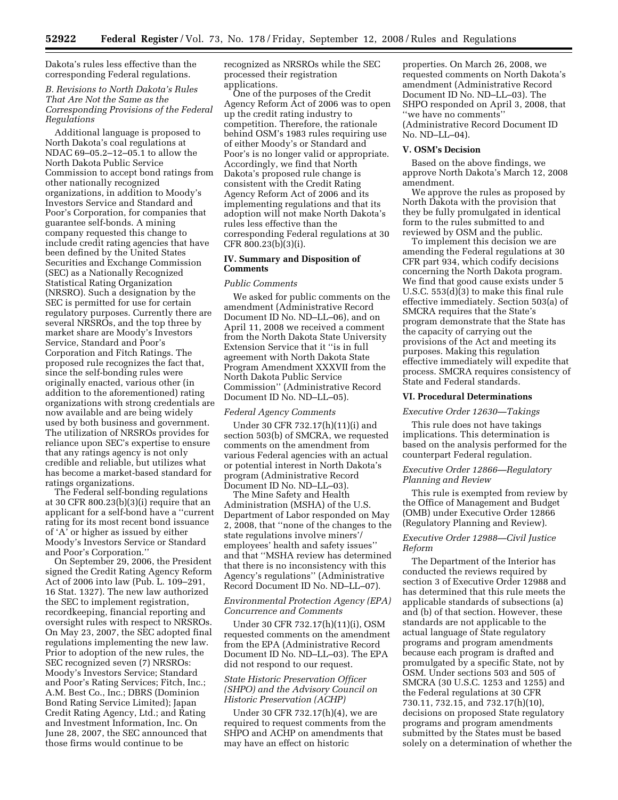Dakota's rules less effective than the corresponding Federal regulations.

## *B. Revisions to North Dakota's Rules That Are Not the Same as the Corresponding Provisions of the Federal Regulations*

Additional language is proposed to North Dakota's coal regulations at NDAC 69–05.2–12–05.1 to allow the North Dakota Public Service Commission to accept bond ratings from other nationally recognized organizations, in addition to Moody's Investors Service and Standard and Poor's Corporation, for companies that guarantee self-bonds. A mining company requested this change to include credit rating agencies that have been defined by the United States Securities and Exchange Commission (SEC) as a Nationally Recognized Statistical Rating Organization (NRSRO). Such a designation by the SEC is permitted for use for certain regulatory purposes. Currently there are several NRSROs, and the top three by market share are Moody's Investors Service, Standard and Poor's Corporation and Fitch Ratings. The proposed rule recognizes the fact that, since the self-bonding rules were originally enacted, various other (in addition to the aforementioned) rating organizations with strong credentials are now available and are being widely used by both business and government. The utilization of NRSROs provides for reliance upon SEC's expertise to ensure that any ratings agency is not only credible and reliable, but utilizes what has become a market-based standard for ratings organizations.

The Federal self-bonding regulations at 30 CFR 800.23(b)(3)(i) require that an applicant for a self-bond have a ''current rating for its most recent bond issuance of 'A' or higher as issued by either Moody's Investors Service or Standard and Poor's Corporation.''

On September 29, 2006, the President signed the Credit Rating Agency Reform Act of 2006 into law (Pub. L. 109–291, 16 Stat. 1327). The new law authorized the SEC to implement registration, recordkeeping, financial reporting and oversight rules with respect to NRSROs. On May 23, 2007, the SEC adopted final regulations implementing the new law. Prior to adoption of the new rules, the SEC recognized seven (7) NRSROs: Moody's Investors Service; Standard and Poor's Rating Services; Fitch, Inc.; A.M. Best Co., Inc.; DBRS (Dominion Bond Rating Service Limited); Japan Credit Rating Agency, Ltd.; and Rating and Investment Information, Inc. On June 28, 2007, the SEC announced that those firms would continue to be

recognized as NRSROs while the SEC processed their registration applications.

One of the purposes of the Credit Agency Reform Act of 2006 was to open up the credit rating industry to competition. Therefore, the rationale behind OSM's 1983 rules requiring use of either Moody's or Standard and Poor's is no longer valid or appropriate. Accordingly, we find that North Dakota's proposed rule change is consistent with the Credit Rating Agency Reform Act of 2006 and its implementing regulations and that its adoption will not make North Dakota's rules less effective than the corresponding Federal regulations at 30 CFR 800.23(b)(3)(i).

# **IV. Summary and Disposition of Comments**

## *Public Comments*

We asked for public comments on the amendment (Administrative Record Document ID No. ND–LL–06), and on April 11, 2008 we received a comment from the North Dakota State University Extension Service that it ''is in full agreement with North Dakota State Program Amendment XXXVII from the North Dakota Public Service Commission'' (Administrative Record Document ID No. ND–LL–05).

### *Federal Agency Comments*

Under 30 CFR 732.17(h)(11)(i) and section 503(b) of SMCRA, we requested comments on the amendment from various Federal agencies with an actual or potential interest in North Dakota's program (Administrative Record Document ID No. ND–LL–03).

The Mine Safety and Health Administration (MSHA) of the U.S. Department of Labor responded on May 2, 2008, that ''none of the changes to the state regulations involve miners'/ employees' health and safety issues'' and that ''MSHA review has determined that there is no inconsistency with this Agency's regulations'' (Administrative Record Document ID No. ND–LL–07).

## *Environmental Protection Agency (EPA) Concurrence and Comments*

Under 30 CFR 732.17(h)(11)(i), OSM requested comments on the amendment from the EPA (Administrative Record Document ID No. ND–LL–03). The EPA did not respond to our request.

## *State Historic Preservation Officer (SHPO) and the Advisory Council on Historic Preservation (ACHP)*

Under 30 CFR 732.17(h)(4), we are required to request comments from the SHPO and ACHP on amendments that may have an effect on historic

properties. On March 26, 2008, we requested comments on North Dakota's amendment (Administrative Record Document ID No. ND–LL–03). The SHPO responded on April 3, 2008, that ''we have no comments'' (Administrative Record Document ID No. ND–LL–04).

### **V. OSM's Decision**

Based on the above findings, we approve North Dakota's March 12, 2008 amendment.

We approve the rules as proposed by North Dakota with the provision that they be fully promulgated in identical form to the rules submitted to and reviewed by OSM and the public.

To implement this decision we are amending the Federal regulations at 30 CFR part 934, which codify decisions concerning the North Dakota program. We find that good cause exists under 5 U.S.C. 553(d)(3) to make this final rule effective immediately. Section 503(a) of SMCRA requires that the State's program demonstrate that the State has the capacity of carrying out the provisions of the Act and meeting its purposes. Making this regulation effective immediately will expedite that process. SMCRA requires consistency of State and Federal standards.

#### **VI. Procedural Determinations**

## *Executive Order 12630—Takings*

This rule does not have takings implications. This determination is based on the analysis performed for the counterpart Federal regulation.

## *Executive Order 12866—Regulatory Planning and Review*

This rule is exempted from review by the Office of Management and Budget (OMB) under Executive Order 12866 (Regulatory Planning and Review).

## *Executive Order 12988—Civil Justice Reform*

The Department of the Interior has conducted the reviews required by section 3 of Executive Order 12988 and has determined that this rule meets the applicable standards of subsections (a) and (b) of that section. However, these standards are not applicable to the actual language of State regulatory programs and program amendments because each program is drafted and promulgated by a specific State, not by OSM. Under sections 503 and 505 of SMCRA (30 U.S.C. 1253 and 1255) and the Federal regulations at 30 CFR 730.11, 732.15, and 732.17(h)(10), decisions on proposed State regulatory programs and program amendments submitted by the States must be based solely on a determination of whether the